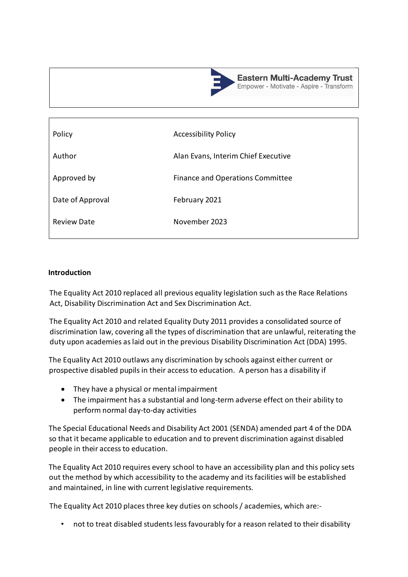

| Policy             | <b>Accessibility Policy</b>         |
|--------------------|-------------------------------------|
| Author             | Alan Evans, Interim Chief Executive |
| Approved by        | Finance and Operations Committee    |
| Date of Approval   | February 2021                       |
| <b>Review Date</b> | November 2023                       |
|                    |                                     |

#### **Introduction**

The Equality Act 2010 replaced all previous equality legislation such as the Race Relations Act, Disability Discrimination Act and Sex Discrimination Act.

The Equality Act 2010 and related Equality Duty 2011 provides a consolidated source of discrimination law, covering all the types of discrimination that are unlawful, reiterating the duty upon academies as laid out in the previous Disability Discrimination Act (DDA) 1995.

The Equality Act 2010 outlaws any discrimination by schools against either current or prospective disabled pupils in their access to education. A person has a disability if

- They have a physical or mental impairment
- The impairment has a substantial and long-term adverse effect on their ability to perform normal day-to-day activities

The Special Educational Needs and Disability Act 2001 (SENDA) amended part 4 of the DDA so that it became applicable to education and to prevent discrimination against disabled people in their access to education.

The Equality Act 2010 requires every school to have an accessibility plan and this policy sets out the method by which accessibility to the academy and its facilities will be established and maintained, in line with current legislative requirements.

The Equality Act 2010 places three key duties on schools / academies, which are:-

• not to treat disabled students less favourably for a reason related to their disability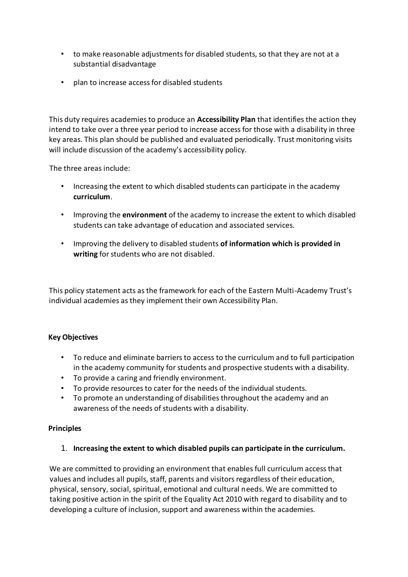- to make reasonable adjustments for disabled students, so that they are not at a substantial disadvantage
- plan to increase access for disabled students

This duty requires academies to produce an **Accessibility Plan** that identifies the action they intend to take over a three year period to increase access for those with a disability in three key areas. This plan should be published and evaluated periodically. Trust monitoring visits will include discussion of the academy's accessibility policy.

The three areas include:

- Increasing the extent to which disabled students can participate in the academy **curriculum**.
- Improving the **environment** of the academy to increase the extent to which disabled students can take advantage of education and associated services.
- Improving the delivery to disabled students **of information which is provided in writing** for students who are not disabled.

This policy statement acts as the framework for each of the Eastern Multi-Academy Trust's individual academies as they implement their own Accessibility Plan.

### **Key Objectives**

- To reduce and eliminate barriers to access to the curriculum and to full participation in the academy community for students and prospective students with a disability.
- To provide a caring and friendly environment.
- To provide resources to cater for the needs of the individual students.
- To promote an understanding of disabilities throughout the academy and an awareness of the needs of students with a disability.

### **Principles**

1. **Increasing the extent to which disabled pupils can participate in the curriculum.** 

We are committed to providing an environment that enables full curriculum access that values and includes all pupils, staff, parents and visitors regardless of their education, physical, sensory, social, spiritual, emotional and cultural needs. We are committed to taking positive action in the spirit of the Equality Act 2010 with regard to disability and to developing a culture of inclusion, support and awareness within the academies.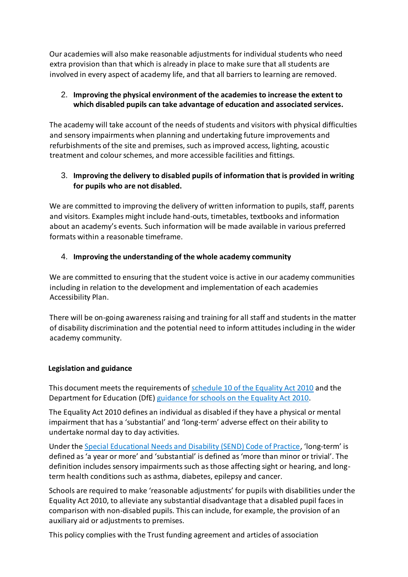Our academies will also make reasonable adjustments for individual students who need extra provision than that which is already in place to make sure that all students are involved in every aspect of academy life, and that all barriers to learning are removed.

### 2. **Improving the physical environment of the academies to increase the extent to which disabled pupils can take advantage of education and associated services.**

The academy will take account of the needs of students and visitors with physical difficulties and sensory impairments when planning and undertaking future improvements and refurbishments of the site and premises, such as improved access, lighting, acoustic treatment and colour schemes, and more accessible facilities and fittings.

# 3. **Improving the delivery to disabled pupils of information that is provided in writing for pupils who are not disabled.**

We are committed to improving the delivery of written information to pupils, staff, parents and visitors. Examples might include hand-outs, timetables, textbooks and information about an academy's events. Such information will be made available in various preferred formats within a reasonable timeframe.

# 4. **Improving the understanding of the whole academy community**

We are committed to ensuring that the student voice is active in our academy communities including in relation to the development and implementation of each academies Accessibility Plan.

There will be on-going awareness raising and training for all staff and students in the matter of disability discrimination and the potential need to inform attitudes including in the wider academy community.

# **Legislation and guidance**

This document meets the requirements of [schedule 10 of the Equality Act 2010](http://www.legislation.gov.uk/ukpga/2010/15/schedule/10) and the Department for Education (DfE[\) guidance for schools on the Equality Act 2010.](https://www.gov.uk/government/publications/equality-act-2010-advice-for-schools)

The Equality Act 2010 defines an individual as disabled if they have a physical or mental impairment that has a 'substantial' and 'long-term' adverse effect on their ability to undertake normal day to day activities.

Under the [Special Educational Needs and Disability \(SEND\) Code of Practice](https://www.gov.uk/government/publications/send-code-of-practice-0-to-25), 'long-term' is defined as 'a year or more' and 'substantial' is defined as 'more than minor or trivial'. The definition includes sensory impairments such as those affecting sight or hearing, and longterm health conditions such as asthma, diabetes, epilepsy and cancer.

Schools are required to make 'reasonable adjustments' for pupils with disabilities under the Equality Act 2010, to alleviate any substantial disadvantage that a disabled pupil faces in comparison with non-disabled pupils. This can include, for example, the provision of an auxiliary aid or adjustments to premises.

This policy complies with the Trust funding agreement and articles of association